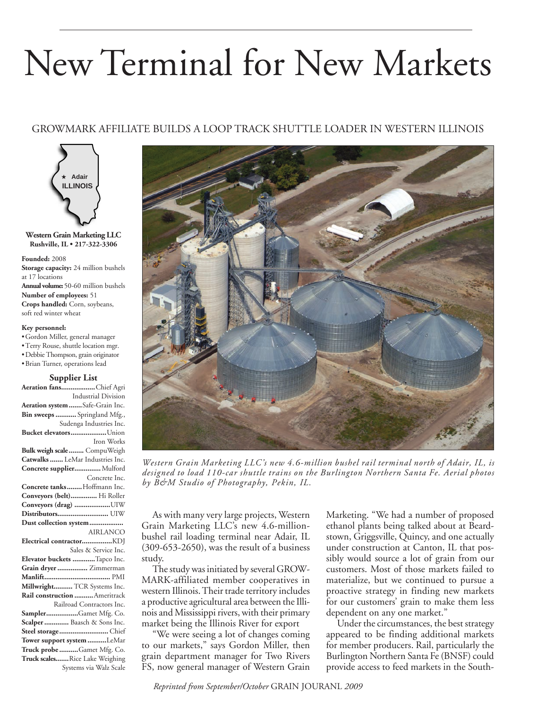# New Terminal for New Markets

# GROWMARK AFFILIATE BUILDS A LOOP TRACK SHUTTLE LOADER IN WESTERN ILLINOIS



**Western Grain Marketing LLC Rushville, IL • 217-322-3306**

#### **Founded:** 2008

**Storage capacity:** 24 million bushels at 17 locations **Annual volume:** 50-60 million bushels **Number of employees:** 51 **Crops handled:** Corn, soybeans, soft red winter wheat

#### **Key personnel:**

• Gordon Miller, general manager • Terry Rouse, shuttle location mgr. • Debbie Thompson, grain originator • Brian Turner, operations lead

## **Supplier List**

| Aeration fansChief Agri          |
|----------------------------------|
| Industrial Division              |
| Aeration system  Safe-Grain Inc. |
| Bin sweeps  Springland Mfg.,     |
| Sudenga Industries Inc.          |
| Bucket elevatorsUnion            |
| Iron Works                       |
| Bulk weigh scale  CompuWeigh     |
| Catwalks  LeMar Industries Inc.  |
| Concrete supplier Mulford        |
| Concrete Inc.                    |
| Concrete tanks  Hoffmann Inc.    |
| Conveyors (belt) Hi Roller       |
| Conveyors (drag) UIW             |
| Distributors UIW                 |
| Dust collection system           |
| <b>AIRLANCO</b>                  |
|                                  |
| Sales & Service Inc.             |
| Elevator buckets Tapco Inc.      |
| Grain dryer  Zimmerman           |
|                                  |
| Millwright TCR Systems Inc.      |
| Rail construction  Ameritrack    |
| Railroad Contractors Inc.        |
| SamplerGamet Mfg. Co.            |
| Scalper  Baasch & Sons Inc.      |
| Steel storage Chief              |
| Tower support system LeMar       |
| Truck probe Gamet Mfg. Co.       |
| Truck scalesRice Lake Weighing   |
| Systems via Walz Scale           |



*Western Grain Marketing LLC's new 4.6-million bushel rail terminal north of Adair, IL, is designed to load 110-car shuttle trains on the Burlington Northern Santa Fe. Aerial photos by B&M Studio of Photography, Pekin, IL.*

As with many very large projects, Western Grain Marketing LLC's new 4.6-millionbushel rail loading terminal near Adair, IL (309-653-2650), was the result of a business study.

The study was initiated by several GROW-MARK-affiliated member cooperatives in western Illinois. Their trade territory includes a productive agricultural area between the Illinois and Mississippi rivers, with their primary market being the Illinois River for export

"We were seeing a lot of changes coming to our markets," says Gordon Miller, then grain department manager for Two Rivers FS, now general manager of Western Grain

Marketing. "We had a number of proposed ethanol plants being talked about at Beardstown, Griggsville, Quincy, and one actually under construction at Canton, IL that possibly would source a lot of grain from our customers. Most of those markets failed to materialize, but we continued to pursue a proactive strategy in finding new markets for our customers' grain to make them less dependent on any one market."

Under the circumstances, the best strategy appeared to be finding additional markets for member producers. Rail, particularly the Burlington Northern Santa Fe(BNSF) could provide access to feed markets in the South-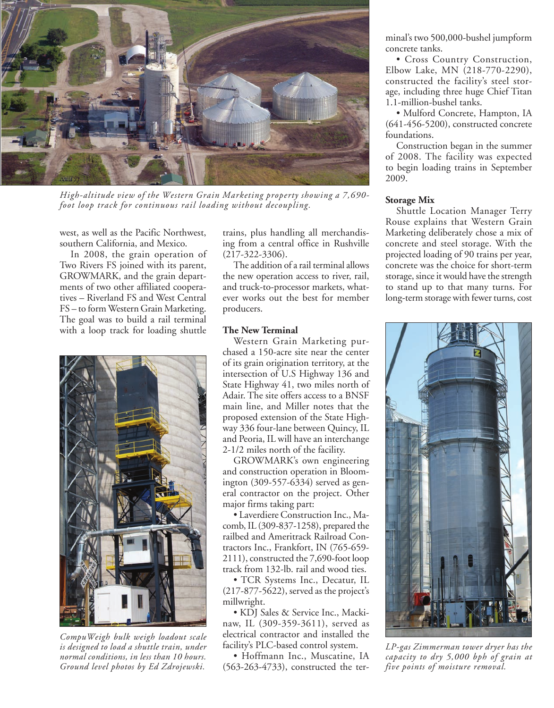

*High-altitude view of the Western Grain Marketing property showing a 7,690 foot loop track for continuous rail loading without decoupling.*

west, as well as the Pacific Northwest, southern California, and Mexico.

In 2008, the grain operation of Two Rivers FS joined with its parent, GROWMARK, and the grain departments of two other affiliated cooperatives – Riverland FS and West Central FS – to formWestern Grain Marketing. The goal was to build a rail terminal with a loop track for loading shuttle



*CompuWeigh bulk weigh loadout scale is designed to load a shuttle train, under normal conditions, in less than 10 hours. Ground level photos by Ed Zdrojewski.*

trains, plus handling all merchandising from a central office in Rushville (217-322-3306).

The addition of a rail terminal allows the new operation access to river, rail, and truck-to-processor markets, whatever works out the best for member producers.

## **The New Terminal**

Western Grain Marketing purchased a 150-acre site near the center of its grain origination territory, at the intersection of U.S Highway 136 and State Highway 41, two miles north of Adair. The site offers access to a BNSF main line, and Miller notes that the proposed extension of the State Highway 336 four-lane between Quincy, IL and Peoria, IL will have an interchange 2-1/2 miles north of the facility.

GROWMARK's own engineering and construction operation in Bloomington (309-557-6334) served as general contractor on the project. Other major firms taking part:

• Laverdiere Construction Inc., Macomb,IL (309-837-1258), prepared the railbed and Ameritrack Railroad Contractors Inc., Frankfort, IN (765-659- 2111), constructed the 7,690-foot loop track from 132-lb. rail and wood ties.

• TCR Systems Inc., Decatur, IL (217-877-5622), served as the project's millwright.

• KDJ Sales & Service Inc., Mackinaw, IL (309-359-3611), served as electrical contractor and installed the facility's PLC-based control system.

• Hoffmann Inc., Muscatine, IA (563-263-4733), constructed the terminal's two 500,000-bushel jumpform concrete tanks.

• Cross Country Construction, Elbow Lake, MN (218-770-2290), constructed the facility's steel storage, including three huge Chief Titan 1.1-million-bushel tanks.

• Mulford Concrete, Hampton, IA (641-456-5200), constructed concrete foundations.

Construction began in the summer of 2008. The facility was expected to begin loading trains in September 2009.

#### **Storage Mix**

Shuttle Location Manager Terry Rouse explains that Western Grain Marketing deliberately chose a mix of concrete and steel storage. With the projected loading of 90 trains per year, concrete was the choice for short-term storage, since it would have the strength to stand up to that many turns. For long-term storage with fewer turns, cost



*LP-gas Zimmerman tower dryer has the capacity to dry 5,000 bph of grain at five points of moisture removal.*